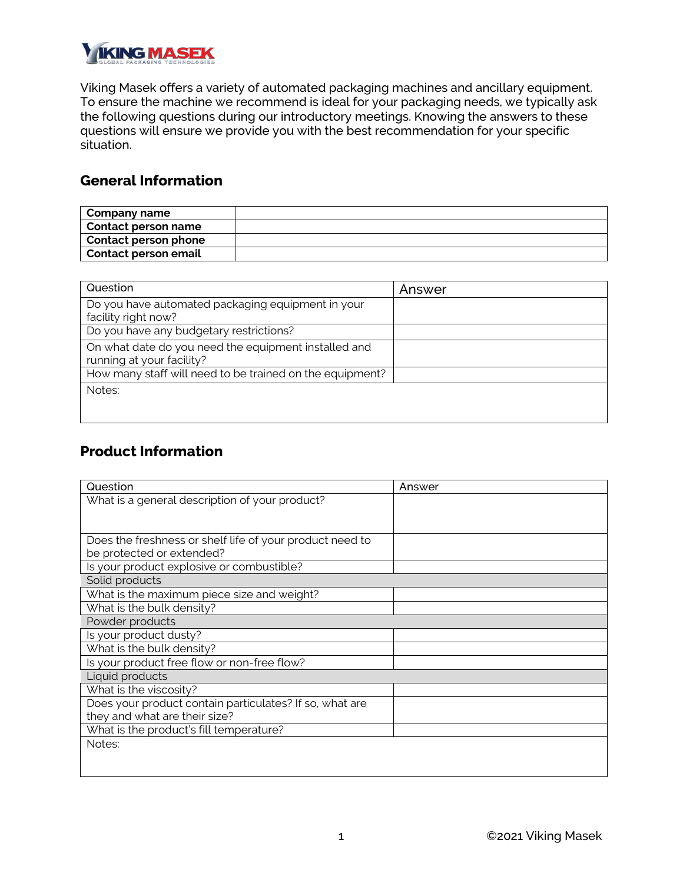

Viking Masek offers a variety of automated packaging machines and ancillary equipment. To ensure the machine we recommend is ideal for your packaging needs, we typically ask the following questions during our introductory meetings. Knowing the answers to these questions will ensure we provide you with the best recommendation for your specific situation.

#### **General Information**

| Company name         |  |
|----------------------|--|
| Contact person name  |  |
| Contact person phone |  |
| Contact person email |  |

| Question                                                                          | Answer |
|-----------------------------------------------------------------------------------|--------|
| Do you have automated packaging equipment in your<br>facility right now?          |        |
| Do you have any budgetary restrictions?                                           |        |
| On what date do you need the equipment installed and<br>running at your facility? |        |
| How many staff will need to be trained on the equipment?                          |        |
| Notes:                                                                            |        |

#### **Product Information**

| Question                                                 | Answer |
|----------------------------------------------------------|--------|
| What is a general description of your product?           |        |
|                                                          |        |
|                                                          |        |
| Does the freshness or shelf life of your product need to |        |
| be protected or extended?                                |        |
| Is your product explosive or combustible?                |        |
| Solid products                                           |        |
| What is the maximum piece size and weight?               |        |
| What is the bulk density?                                |        |
| Powder products                                          |        |
| Is your product dusty?                                   |        |
| What is the bulk density?                                |        |
| Is your product free flow or non-free flow?              |        |
| Liquid products                                          |        |
| What is the viscosity?                                   |        |
| Does your product contain particulates? If so, what are  |        |
| they and what are their size?                            |        |
| What is the product's fill temperature?                  |        |
| Notes:                                                   |        |
|                                                          |        |
|                                                          |        |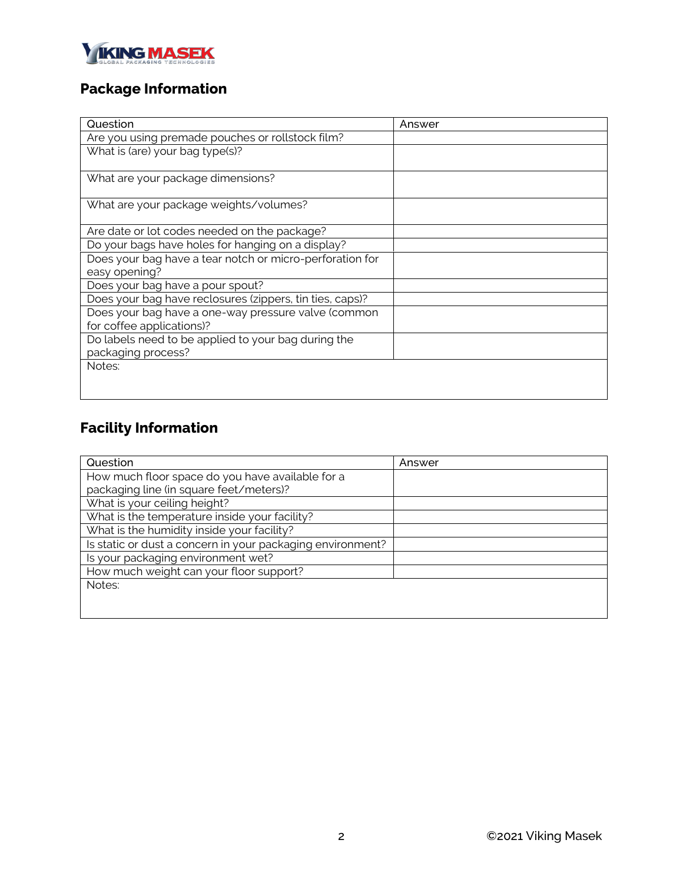

## **Package Information**

| Question                                                 | Answer |
|----------------------------------------------------------|--------|
| Are you using premade pouches or rollstock film?         |        |
| What is (are) your bag type(s)?                          |        |
|                                                          |        |
| What are your package dimensions?                        |        |
| What are your package weights/volumes?                   |        |
| Are date or lot codes needed on the package?             |        |
| Do your bags have holes for hanging on a display?        |        |
| Does your bag have a tear notch or micro-perforation for |        |
| easy opening?                                            |        |
| Does your bag have a pour spout?                         |        |
| Does your bag have reclosures (zippers, tin ties, caps)? |        |
| Does your bag have a one-way pressure valve (common      |        |
| for coffee applications)?                                |        |
| Do labels need to be applied to your bag during the      |        |
| packaging process?                                       |        |
| Notes:                                                   |        |
|                                                          |        |
|                                                          |        |

# **Facility Information**

| Question                                                   | Answer |
|------------------------------------------------------------|--------|
| How much floor space do you have available for a           |        |
| packaging line (in square feet/meters)?                    |        |
| What is your ceiling height?                               |        |
| What is the temperature inside your facility?              |        |
| What is the humidity inside your facility?                 |        |
| Is static or dust a concern in your packaging environment? |        |
| Is your packaging environment wet?                         |        |
| How much weight can your floor support?                    |        |
| Notes:                                                     |        |
|                                                            |        |
|                                                            |        |